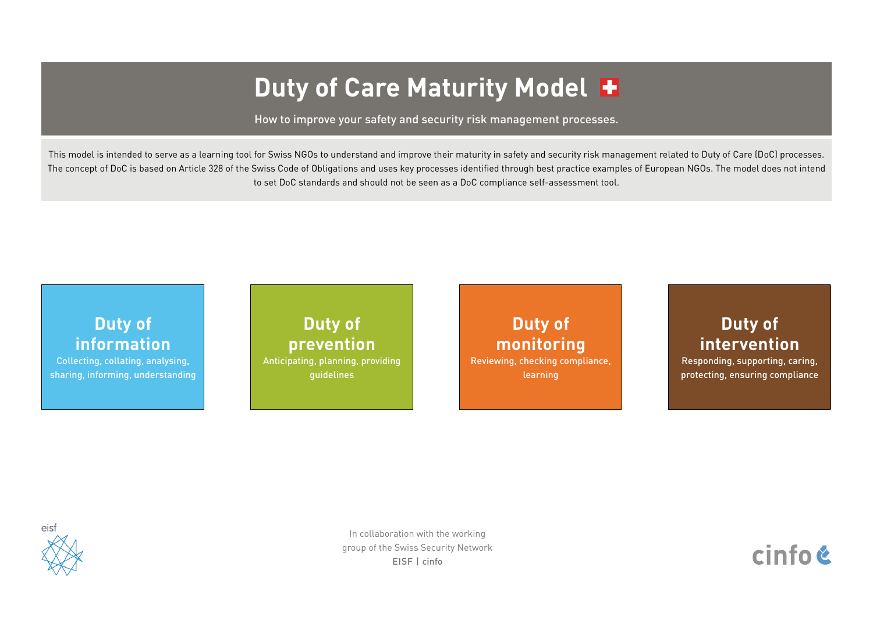# **Duty of Care Maturity Model**

How to improve your safety and security risk management processes.

#### **[Duty of](#page-1-0)  [information](#page-1-0)**

[Collecting, collating, analysing,](#page-1-0)  [sharing, informing, understanding](#page-1-0)

**[Duty of](#page-3-0)  [prevention](#page-3-0)**

[Anticipating, planning, providing](#page-3-0)  [guidelines](#page-3-0) 

**[Duty of](#page-4-0)  [monitoring](#page-4-0)** [Reviewing, checking compliance,](#page-4-0)  [learning](#page-4-0)

# **[Duty of](#page-5-0)  [intervention](#page-5-0)**

[Responding, supporting, caring,](#page-5-0)  [protecting, ensuring compliance](#page-5-0)



This model is intended to serve as a learning tool for Swiss NGOs to understand and improve their maturity in safety and security risk management related to Duty of Care (DoC) processes. The concept of DoC is based on Article 328 of the Swiss Code of Obligations and uses key processes identified through best practice examples of European NGOs. The model does not intend to set DoC standards and should not be seen as a DoC compliance self-assessment tool.

> In collaboration with the working group of the Swiss Security Network EISF | cinfo

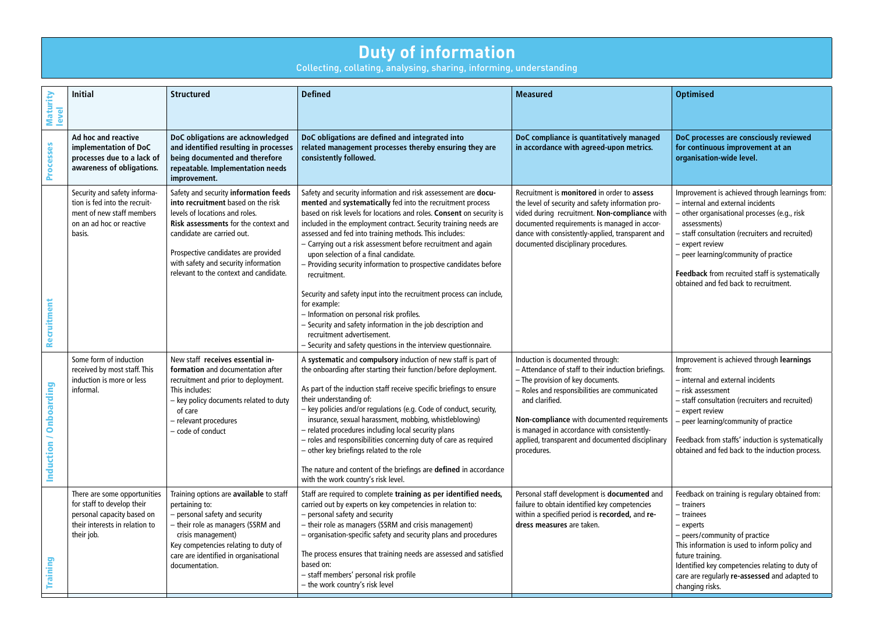# **Duty of information**

Collecting, collating, analysing, sharing, informing, understanding

<span id="page-1-0"></span>

|                         | Collecting, collating, analysing, sharing, informing, understanding                                                                      |                                                                                                                                                                                                                                                                                                                     |                                                                                                                                                                                                                                                                                                                                                                                                                                                                                                                                                                                                                                                                                                                                                                                                                                      |                                                                                                                                                                                                                                                                                                                                                                  |                                                                                                                                                                                                                                                                                                                                                               |  |  |
|-------------------------|------------------------------------------------------------------------------------------------------------------------------------------|---------------------------------------------------------------------------------------------------------------------------------------------------------------------------------------------------------------------------------------------------------------------------------------------------------------------|--------------------------------------------------------------------------------------------------------------------------------------------------------------------------------------------------------------------------------------------------------------------------------------------------------------------------------------------------------------------------------------------------------------------------------------------------------------------------------------------------------------------------------------------------------------------------------------------------------------------------------------------------------------------------------------------------------------------------------------------------------------------------------------------------------------------------------------|------------------------------------------------------------------------------------------------------------------------------------------------------------------------------------------------------------------------------------------------------------------------------------------------------------------------------------------------------------------|---------------------------------------------------------------------------------------------------------------------------------------------------------------------------------------------------------------------------------------------------------------------------------------------------------------------------------------------------------------|--|--|
| Maturity<br>level       | <b>Initial</b>                                                                                                                           | <b>Structured</b>                                                                                                                                                                                                                                                                                                   | <b>Defined</b>                                                                                                                                                                                                                                                                                                                                                                                                                                                                                                                                                                                                                                                                                                                                                                                                                       | <b>Measured</b>                                                                                                                                                                                                                                                                                                                                                  | <b>Optimised</b>                                                                                                                                                                                                                                                                                                                                              |  |  |
| Processes               | Ad hoc and reactive<br>implementation of DoC<br>processes due to a lack of<br>awareness of obligations.                                  | DoC obligations are acknowledged<br>and identified resulting in processes<br>being documented and therefore<br>repeatable. Implementation needs<br>improvement.                                                                                                                                                     | DoC obligations are defined and integrated into<br>related management processes thereby ensuring they are<br>consistently followed.                                                                                                                                                                                                                                                                                                                                                                                                                                                                                                                                                                                                                                                                                                  | DoC compliance is quantitatively managed<br>in accordance with agreed-upon metrics.                                                                                                                                                                                                                                                                              | DoC processes are consciously reviewed<br>for continuous improvement at an<br>organisation-wide level.                                                                                                                                                                                                                                                        |  |  |
| Recruitment             | Security and safety informa-<br>tion is fed into the recruit-<br>ment of new staff members<br>on an ad hoc or reactive<br>basis.         | Safety and security information feeds<br>into recruitment based on the risk<br>levels of locations and roles.<br><b>Risk assessments for the context and</b><br>candidate are carried out.<br>Prospective candidates are provided<br>with safety and security information<br>relevant to the context and candidate. | Safety and security information and risk assessement are docu-<br>mented and systematically fed into the recruitment process<br>based on risk levels for locations and roles. Consent on security is<br>included in the employment contract. Security training needs are<br>assessed and fed into training methods. This includes:<br>- Carrying out a risk assessment before recruitment and again<br>upon selection of a final candidate.<br>- Providing security information to prospective candidates before<br>recruitment.<br>Security and safety input into the recruitment process can include,<br>for example:<br>- Information on personal risk profiles.<br>- Security and safety information in the job description and<br>recruitment advertisement.<br>- Security and safety questions in the interview questionnaire. | Recruitment is monitored in order to assess<br>the level of security and safety information pro-<br>vided during recruitment. Non-compliance with<br>documented requirements is managed in accor-<br>dance with consistently-applied, transparent and<br>documented disciplinary procedures.                                                                     | Improvement is achieved through learnings from:<br>- internal and external incidents<br>other organisational processes (e.g., risk<br>assessments)<br>- staff consultation (recruiters and recruited)<br>- expert review<br>- peer learning/community of practice<br>Feedback from recruited staff is systematically<br>obtained and fed back to recruitment. |  |  |
| Onboarding<br>Induction | Some form of induction<br>received by most staff. This<br>induction is more or less<br>informal                                          | New staff receives essential in-<br>formation and documentation after<br>recruitment and prior to deployment.<br>This includes:<br>- key policy documents related to duty<br>of care<br>- relevant procedures<br>- code of conduct                                                                                  | A systematic and compulsory induction of new staff is part of<br>the onboarding after starting their function/before deployment.<br>As part of the induction staff receive specific briefings to ensure<br>their understanding of:<br>- key policies and/or regulations (e.g. Code of conduct, security,<br>insurance, sexual harassment, mobbing, whistleblowing)<br>- related procedures including local security plans<br>- roles and responsibilities concerning duty of care as required<br>- other key briefings related to the role<br>The nature and content of the briefings are defined in accordance<br>with the work country's risk level.                                                                                                                                                                               | Induction is documented through:<br>- Attendance of staff to their induction briefings.<br>- The provision of key documents.<br>- Roles and responsibilities are communicated<br>and clarified.<br>Non-compliance with documented requirements<br>is managed in accordance with consistently-<br>applied, transparent and documented disciplinary<br>procedures. | Improvement is achieved through learnings<br>from:<br>- internal and external incidents<br>- risk assessment<br>- staff consultation (recruiters and recruited)<br>- expert review<br>peer learning/community of practice<br>Feedback from staffs' induction is systematically<br>obtained and fed back to the induction process.                             |  |  |
| Training                | There are some opportunities<br>for staff to develop their<br>personal capacity based on<br>their interests in relation to<br>their job. | Training options are available to staff<br>pertaining to:<br>- personal safety and security<br>their role as managers (SSRM and<br>crisis management)<br>Key competencies relating to duty of<br>care are identified in organisational<br>documentation.                                                            | Staff are required to complete training as per identified needs,<br>carried out by experts on key competencies in relation to:<br>- personal safety and security<br>- their role as managers (SSRM and crisis management)<br>- organisation-specific safety and security plans and procedures<br>The process ensures that training needs are assessed and satisfied<br>based on:<br>- staff members' personal risk profile<br>- the work country's risk level                                                                                                                                                                                                                                                                                                                                                                        | Personal staff development is documented and<br>failure to obtain identified key competencies<br>within a specified period is recorded, and re-<br>dress measures are taken.                                                                                                                                                                                     | Feedback on training is regulary obtained from:<br>- trainers<br>- trainees<br>- experts<br>- peers/community of practice<br>This information is used to inform policy and<br>future training.<br>Identified key competencies relating to duty of<br>care are regularly re-assessed and adapted to<br>changing risks.                                         |  |  |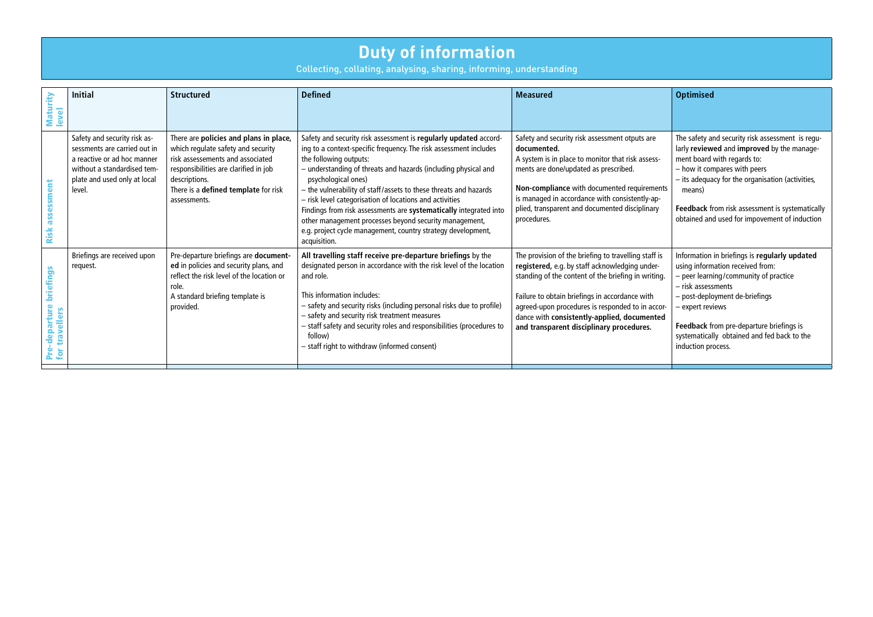#### **Duty of information**

Collecting, collating, analysing, sharing, informing, understanding

| Maturity<br>$\overline{\bullet}$<br>₾                                                                   | <b>Initial</b>                                                                                                                                                       | <b>Structured</b>                                                                                                                                                                                                                  | <b>Defined</b>                                                                                                                                                                                                                                                                                                                                                                                                                                                                                                                                                                                         | <b>Measured</b>                                                                                                                                                                                                                                                                                                                                                | <b>Optimised</b>                                                                                                                                                                                                                                                                                                                |
|---------------------------------------------------------------------------------------------------------|----------------------------------------------------------------------------------------------------------------------------------------------------------------------|------------------------------------------------------------------------------------------------------------------------------------------------------------------------------------------------------------------------------------|--------------------------------------------------------------------------------------------------------------------------------------------------------------------------------------------------------------------------------------------------------------------------------------------------------------------------------------------------------------------------------------------------------------------------------------------------------------------------------------------------------------------------------------------------------------------------------------------------------|----------------------------------------------------------------------------------------------------------------------------------------------------------------------------------------------------------------------------------------------------------------------------------------------------------------------------------------------------------------|---------------------------------------------------------------------------------------------------------------------------------------------------------------------------------------------------------------------------------------------------------------------------------------------------------------------------------|
| assessment<br>Risk                                                                                      | Safety and security risk as-<br>sessments are carried out in<br>a reactive or ad hoc manner<br>without a standardised tem-<br>plate and used only at local<br>level. | There are policies and plans in place,<br>which regulate safety and security<br>risk assessements and associated<br>responsibilities are clarified in job<br>descriptions.<br>There is a defined template for risk<br>assessments. | Safety and security risk assessment is regularly updated accord-<br>ing to a context-specific frequency. The risk assessment includes<br>the following outputs:<br>- understanding of threats and hazards (including physical and<br>psychological ones)<br>- the vulnerability of staff/assets to these threats and hazards<br>- risk level categorisation of locations and activities<br>Findings from risk assessments are systematically integrated into<br>other management processes beyond security management,<br>e.g. project cycle management, country strategy development,<br>acquisition. | Safety and security risk assessment otputs are<br>documented.<br>A system is in place to monitor that risk assess-<br>ments are done/updated as prescribed.<br>Non-compliance with documented requirements<br>is managed in accordance with consistently-ap-<br>plied, transparent and documented disciplinary<br>procedures.                                  | The safety and security risk assessment is regu-<br>larly reviewed and improved by the manage-<br>ment board with regards to:<br>- how it compares with peers<br>- its adequacy for the organisation (activities,<br>means)<br>Feedback from risk assessment is systematically<br>obtained and used for impovement of induction |
| briefings<br>-departure<br>$\overline{\mathbf{c}}$<br>高<br>$\overline{\mathbf{c}}$<br><b>Pre</b><br>for | Briefings are received upon<br>request.                                                                                                                              | Pre-departure briefings are document-<br>ed in policies and security plans, and<br>reflect the risk level of the location or<br>role.<br>A standard briefing template is<br>provided.                                              | All travelling staff receive pre-departure briefings by the<br>designated person in accordance with the risk level of the location<br>and role.<br>This information includes:<br>- safety and security risks (including personal risks due to profile)<br>- safety and security risk treatment measures<br>- staff safety and security roles and responsibilities (procedures to<br>follow)<br>- staff right to withdraw (informed consent)                                                                                                                                                            | The provision of the briefing to travelling staff is<br>registered, e.g. by staff acknowledging under-<br>standing of the content of the briefing in writing.<br>Failure to obtain briefings in accordance with<br>agreed-upon procedures is responded to in accor-<br>dance with consistently-applied, documented<br>and transparent disciplinary procedures. | Information in briefings is regularly updated<br>using information received from:<br>- peer learning/community of practice<br>- risk assessments<br>- post-deployment de-briefings<br>- expert reviews<br>Feedback from pre-departure briefings is<br>systematically obtained and fed back to the<br>induction process.         |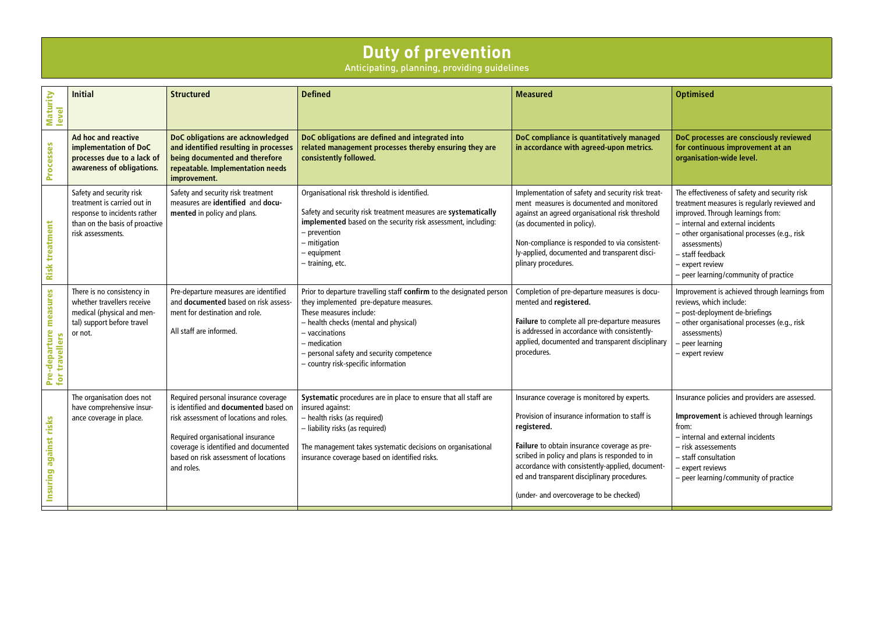#### **Duty of prevention**

Anticipating, planning, providing guidelines

<span id="page-3-0"></span>

| Maturity<br>level                        | <b>Initial</b>                                                                                                                                 | <b>Structured</b>                                                                                                                                                                                                                                                    | <b>Defined</b>                                                                                                                                                                                                                                                                                            | <b>Measured</b>                                                                                                                                                                                                                                                                                                                                             | <b>Optimised</b>                                                                                                                                                                                                                                                                                                        |
|------------------------------------------|------------------------------------------------------------------------------------------------------------------------------------------------|----------------------------------------------------------------------------------------------------------------------------------------------------------------------------------------------------------------------------------------------------------------------|-----------------------------------------------------------------------------------------------------------------------------------------------------------------------------------------------------------------------------------------------------------------------------------------------------------|-------------------------------------------------------------------------------------------------------------------------------------------------------------------------------------------------------------------------------------------------------------------------------------------------------------------------------------------------------------|-------------------------------------------------------------------------------------------------------------------------------------------------------------------------------------------------------------------------------------------------------------------------------------------------------------------------|
| Processes                                | Ad hoc and reactive<br>implementation of DoC<br>processes due to a lack of<br>awareness of obligations.                                        | DoC obligations are acknowledged<br>and identified resulting in processes<br>being documented and therefore<br>repeatable. Implementation needs<br>improvement.                                                                                                      | DoC obligations are defined and integrated into<br>related management processes thereby ensuring they are<br>consistently followed.                                                                                                                                                                       | DoC compliance is quantitatively managed<br>in accordance with agreed-upon metrics.                                                                                                                                                                                                                                                                         | DoC processes are consciously reviewed<br>for continuous improvement at an<br>organisation-wide level.                                                                                                                                                                                                                  |
| <b>Risk treatment</b>                    | Safety and security risk<br>treatment is carried out in<br>response to incidents rather<br>than on the basis of proactive<br>risk assessments. | Safety and security risk treatment<br>measures are identified and docu-<br>mented in policy and plans.                                                                                                                                                               | Organisational risk threshold is identified.<br>Safety and security risk treatment measures are systematically<br>implemented based on the security risk assessment, including:<br>- prevention<br>- mitigation<br>- equipment<br>- training, etc.                                                        | Implementation of safety and security risk treat-<br>ment measures is documented and monitored<br>against an agreed organisational risk threshold<br>(as documented in policy).<br>Non-compliance is responded to via consistent-<br>ly-applied, documented and transparent disci-<br>plinary procedures.                                                   | The effectiveness of safety and security risk<br>treatment measures is regularly reviewed and<br>improved. Through learnings from:<br>- internal and external incidents<br>- other organisational processes (e.g., risk<br>assessments)<br>- staff feedback<br>- expert review<br>- peer learning/community of practice |
| Pre-departure measures<br>for travellers | There is no consistency in<br>whether travellers receive<br>medical (physical and men-<br>tal) support before travel<br>or not.                | Pre-departure measures are identified<br>and documented based on risk assess-<br>ment for destination and role.<br>All staff are informed.                                                                                                                           | Prior to departure travelling staff confirm to the designated person<br>they implemented pre-depature measures.<br>These measures include:<br>- health checks (mental and physical)<br>- vaccinations<br>- medication<br>- personal safety and security competence<br>- country risk-specific information | Completion of pre-departure measures is docu-<br>mented and registered.<br>Failure to complete all pre-departure measures<br>is addressed in accordance with consistently-<br>applied, documented and transparent disciplinary<br>procedures.                                                                                                               | Improvement is achieved through learnings from<br>reviews, which include:<br>- post-deployment de-briefings<br>- other organisational processes (e.g., risk<br>assessments)<br>peer learning<br>- expert review                                                                                                         |
| against risks<br>Insuring                | The organisation does not<br>have comprehensive insur-<br>ance coverage in place.                                                              | Required personal insurance coverage<br>is identified and <b>documented</b> based on<br>risk assessment of locations and roles.<br>Required organisational insurance<br>coverage is identified and documented<br>based on risk assessment of locations<br>and roles. | Systematic procedures are in place to ensure that all staff are<br>insured against:<br>- health risks (as required)<br>- liability risks (as required)<br>The management takes systematic decisions on organisational<br>insurance coverage based on identified risks.                                    | Insurance coverage is monitored by experts.<br>Provision of insurance information to staff is<br>registered.<br>Failure to obtain insurance coverage as pre-<br>scribed in policy and plans is responded to in<br>accordance with consistently-applied, document-<br>ed and transparent disciplinary procedures.<br>(under- and overcoverage to be checked) | Insurance policies and providers are assessed.<br>Improvement is achieved through learnings<br>from:<br>- internal and external incidents<br>- risk assessements<br>- staff consultation<br>- expert reviews<br>- peer learning/community of practice                                                                   |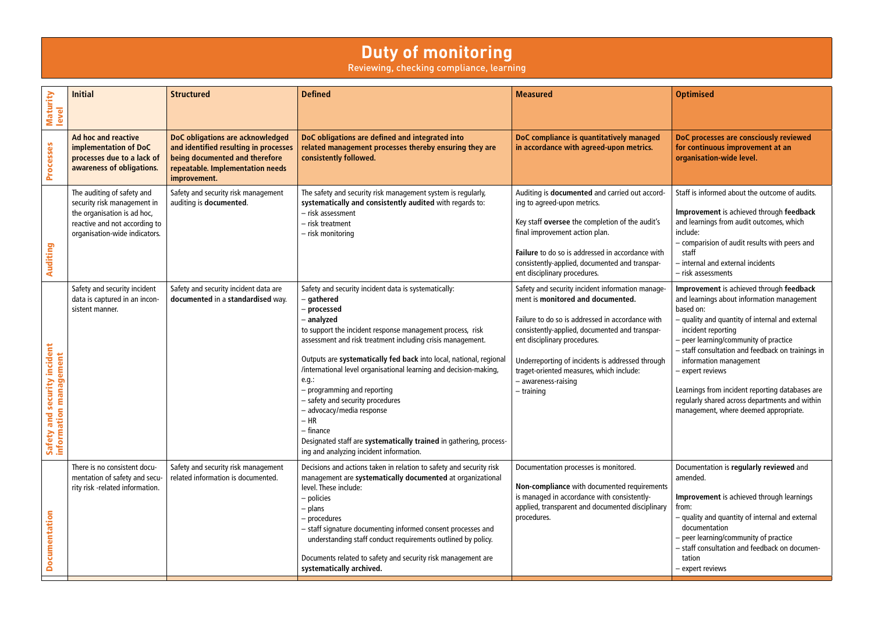### **Duty of monitoring**

Reviewing, checking compliance, learning

<span id="page-4-0"></span>

| Maturity<br>level                                      | <b>Initial</b>                                                                                                                                             | <b>Structured</b>                                                                                                                                               | <b>Defined</b>                                                                                                                                                                                                                                                                                                                                                                                                                                                                                                                                                                                                       | <b>Measured</b>                                                                                                                                                                                                                                                                                                                                                    | <b>Optimised</b>                                                                                                                                                                                                                                                                                                                                                                                                                                                       |
|--------------------------------------------------------|------------------------------------------------------------------------------------------------------------------------------------------------------------|-----------------------------------------------------------------------------------------------------------------------------------------------------------------|----------------------------------------------------------------------------------------------------------------------------------------------------------------------------------------------------------------------------------------------------------------------------------------------------------------------------------------------------------------------------------------------------------------------------------------------------------------------------------------------------------------------------------------------------------------------------------------------------------------------|--------------------------------------------------------------------------------------------------------------------------------------------------------------------------------------------------------------------------------------------------------------------------------------------------------------------------------------------------------------------|------------------------------------------------------------------------------------------------------------------------------------------------------------------------------------------------------------------------------------------------------------------------------------------------------------------------------------------------------------------------------------------------------------------------------------------------------------------------|
| Processes                                              | <b>Ad hoc and reactive</b><br>implementation of DoC<br>processes due to a lack of<br>awareness of obligations.                                             | DoC obligations are acknowledged<br>and identified resulting in processes<br>being documented and therefore<br>repeatable. Implementation needs<br>improvement. | DoC obligations are defined and integrated into<br>related management processes thereby ensuring they are<br>consistently followed.                                                                                                                                                                                                                                                                                                                                                                                                                                                                                  | DoC compliance is quantitatively managed<br>in accordance with agreed-upon metrics.                                                                                                                                                                                                                                                                                | DoC processes are consciously reviewed<br>for continuous improvement at an<br>organisation-wide level.                                                                                                                                                                                                                                                                                                                                                                 |
| Auditing                                               | The auditing of safety and<br>security risk management in<br>the organisation is ad hoc,<br>reactive and not according to<br>organisation-wide indicators. | Safety and security risk management<br>auditing is documented.                                                                                                  | The safety and security risk management system is regularly,<br>systematically and consistently audited with regards to:<br>- risk assessment<br>- risk treatment<br>$-$ risk monitoring                                                                                                                                                                                                                                                                                                                                                                                                                             | Auditing is documented and carried out accord-<br>ing to agreed-upon metrics.<br>Key staff oversee the completion of the audit's<br>final improvement action plan.<br>Failure to do so is addressed in accordance with<br>consistently-applied, documented and transpar-<br>ent disciplinary procedures.                                                           | Staff is informed about the outcome of audits.<br>Improvement is achieved through feedback<br>and learnings from audit outcomes, which<br>include:<br>- comparision of audit results with peers and<br>staff<br>- internal and external incidents<br>- risk assessments                                                                                                                                                                                                |
| Safety and security incident<br>information management | Safety and security incident<br>data is captured in an incon-<br>sistent manner.                                                                           | Safety and security incident data are<br>documented in a standardised way.                                                                                      | Safety and security incident data is systematically:<br>- gathered<br>– processed<br>- analyzed<br>to support the incident response management process, risk<br>assessment and risk treatment including crisis management.<br>Outputs are systematically fed back into local, national, regional<br>/international level organisational learning and decision-making,<br>e.g.:<br>- programming and reporting<br>safety and security procedures<br>- advocacy/media response<br>$-$ HR<br>– finance<br>Designated staff are systematically trained in gathering, process-<br>ing and analyzing incident information. | Safety and security incident information manage-<br>ment is monitored and documented.<br>Failure to do so is addressed in accordance with<br>consistently-applied, documented and transpar-<br>ent disciplinary procedures.<br>Underreporting of incidents is addressed through<br>traget-oriented measures, which include:<br>- awareness-raising<br>$-$ training | Improvement is achieved through feedback<br>and learnings about information management<br>based on:<br>- quality and quantity of internal and external<br>incident reporting<br>- peer learning/community of practice<br>- staff consultation and feedback on trainings in<br>information management<br>– expert reviews<br>Learnings from incident reporting databases are<br>regularly shared across departments and within<br>management, where deemed appropriate. |
| <b>Documentation</b>                                   | There is no consistent docu-<br>mentation of safety and secu-<br>rity risk -related information.                                                           | Safety and security risk management<br>related information is documented.                                                                                       | Decisions and actions taken in relation to safety and security risk<br>management are systematically documented at organizational<br>level. These include:<br>– policies<br>– plans<br>- procedures<br>- staff signature documenting informed consent processes and<br>understanding staff conduct requirements outlined by policy.<br>Documents related to safety and security risk management are<br>systematically archived.                                                                                                                                                                                      | Documentation processes is monitored.<br>Non-compliance with documented requirements<br>is managed in accordance with consistently-<br>applied, transparent and documented disciplinary<br>procedures.                                                                                                                                                             | Documentation is regularly reviewed and<br>amended.<br>Improvement is achieved through learnings<br>from:<br>- quality and quantity of internal and external<br>documentation<br>- peer learning/community of practice<br>- staff consultation and feedback on documen-<br>tation<br>– expert reviews                                                                                                                                                                  |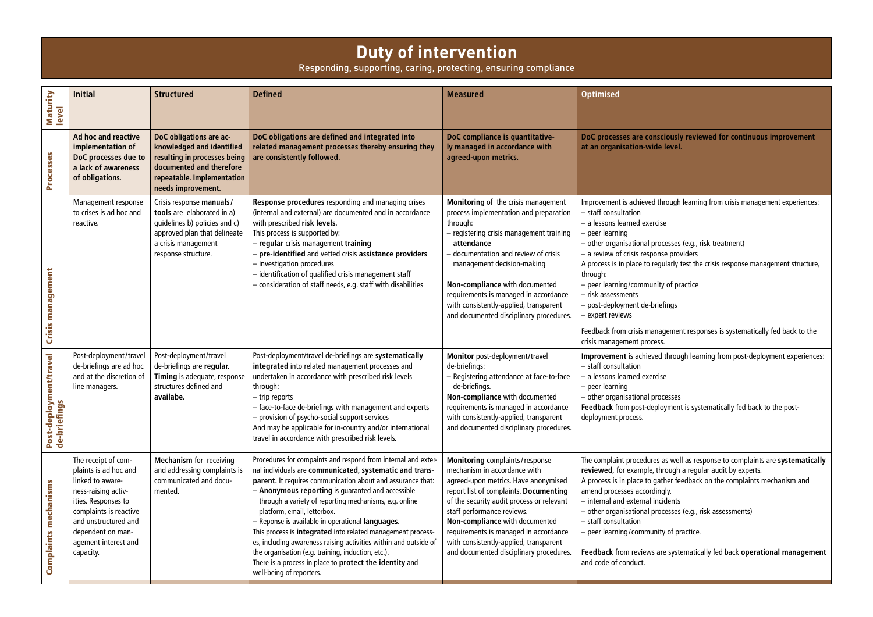#### **Duty of intervention**

Responding, supporting, caring, protecting, ensuring compliance

**DoC processes are consciously reviewed for continuous improvement d** level.

through learning from crisis management experiences:

ocesses (e.g., risk treatment)

nse providers

gularly test the crisis response management structure,

ty of practice

efings

agement responses is systematically fed back to the

**In** through learning from post-deployment experiences:

ocesses loyment is systematically fed back to the post-

s as well as response to complaints are **systematically hrough a regular audit by experts.** ather feedback on the complaints mechanism and ngly.

cidents

ocesses (e.g., risk assessments)

ity of practice.

<span id="page-5-0"></span>

| Maturity<br>level                                      | <b>Initial</b>                                                                                                                                                                                                             | <b>Structured</b>                                                                                                                                                     | <b>Defined</b>                                                                                                                                                                                                                                                                                                                                                                                                                                                                                                                                                                                                                                                            | <b>Measured</b>                                                                                                                                                                                                                                                                                                                                                                               | <b>Optimised</b>                                                                                                                                                                                                                                                                                                                                                                         |
|--------------------------------------------------------|----------------------------------------------------------------------------------------------------------------------------------------------------------------------------------------------------------------------------|-----------------------------------------------------------------------------------------------------------------------------------------------------------------------|---------------------------------------------------------------------------------------------------------------------------------------------------------------------------------------------------------------------------------------------------------------------------------------------------------------------------------------------------------------------------------------------------------------------------------------------------------------------------------------------------------------------------------------------------------------------------------------------------------------------------------------------------------------------------|-----------------------------------------------------------------------------------------------------------------------------------------------------------------------------------------------------------------------------------------------------------------------------------------------------------------------------------------------------------------------------------------------|------------------------------------------------------------------------------------------------------------------------------------------------------------------------------------------------------------------------------------------------------------------------------------------------------------------------------------------------------------------------------------------|
| Processes                                              | Ad hoc and reactive<br>implementation of<br>DoC processes due to<br>a lack of awareness<br>of obligations.                                                                                                                 | DoC obligations are ac-<br>knowledged and identified<br>resulting in processes being<br>documented and therefore<br>repeatable. Implementation<br>needs improvement.  | DoC obligations are defined and integrated into<br>related management processes thereby ensuring they<br>are consistently followed.                                                                                                                                                                                                                                                                                                                                                                                                                                                                                                                                       | DoC compliance is quantitative-<br>ly managed in accordance with<br>agreed-upon metrics.                                                                                                                                                                                                                                                                                                      | DoC processes are consci<br>at an organisation-wide I                                                                                                                                                                                                                                                                                                                                    |
| Crisis management                                      | Management response<br>to crises is ad hoc and<br>reactive.                                                                                                                                                                | Crisis response manuals/<br>tools are elaborated in a)<br>guidelines b) policies and c)<br>approved plan that delineate<br>a crisis management<br>response structure. | Response procedures responding and managing crises<br>(internal and external) are documented and in accordance<br>with prescribed risk levels.<br>This process is supported by:<br>- regular crisis management training<br>- pre-identified and vetted crisis assistance providers<br>- investigation procedures<br>- identification of qualified crisis management staff<br>- consideration of staff needs, e.g. staff with disabilities                                                                                                                                                                                                                                 | Monitoring of the crisis management<br>process implementation and preparation<br>through:<br>- registering crisis management training<br>attendance<br>- documentation and review of crisis<br>management decision-making<br>Non-compliance with documented<br>requirements is managed in accordance<br>with consistently-applied, transparent<br>and documented disciplinary procedures.     | Improvement is achieved thr<br>- staff consultation<br>- a lessons learned exercise<br>- peer learning<br>$-$ other organisational proce<br>- a review of crisis response<br>A process is in place to regu<br>through:<br>- peer learning/community<br>- risk assessments<br>- post-deployment de-briefi<br>- expert reviews<br>Feedback from crisis manag<br>crisis management process. |
| oyment/travel<br><u>ჭ</u><br>Post-deplo<br>de-briefino | Post-deployment/travel<br>de-briefings are ad hoc<br>and at the discretion of<br>line managers.                                                                                                                            | Post-deployment/travel<br>de-briefings are regular.<br>Timing is adequate, response<br>structures defined and<br>availabe.                                            | Post-deployment/travel de-briefings are systematically<br>integrated into related management processes and<br>undertaken in accordance with prescribed risk levels<br>through:<br>$-$ trip reports<br>- face-to-face de-briefings with management and experts<br>- provision of psycho-social support services<br>And may be applicable for in-country and/or international<br>travel in accordance with prescribed risk levels.                                                                                                                                                                                                                                          | Monitor post-deployment/travel<br>de-briefings:<br>- Registering attendance at face-to-face<br>de-briefings.<br>Non-compliance with documented<br>requirements is managed in accordance<br>with consistently-applied, transparent<br>and documented disciplinary procedures.                                                                                                                  | Improvement is achieved t<br>- staff consultation<br>- a lessons learned exercise<br>$-$ peer learning<br>$-$ other organisational proce<br>Feedback from post-deploy<br>deployment process.                                                                                                                                                                                             |
| mechanisms<br>Complaints                               | The receipt of com-<br>plaints is ad hoc and<br>linked to aware-<br>ness-raising activ-<br>ities. Responses to<br>complaints is reactive<br>and unstructured and<br>dependent on man-<br>agement interest and<br>capacity. | <b>Mechanism</b> for receiving<br>and addressing complaints is<br>communicated and docu-<br>mented.                                                                   | Procedures for compaints and respond from internal and exter-<br>nal individuals are communicated, systematic and trans-<br>parent. It requires communication about and assurance that:<br>- Anonymous reporting is guaranted and accessible<br>through a variety of reporting mechanisms, e.g. online<br>platform, email, letterbox.<br>- Reponse is available in operational languages.<br>This process is integrated into related management process-<br>es, including awareness raising activities within and outside of<br>the organisation (e.g. training, induction, etc.).<br>There is a process in place to protect the identity and<br>well-being of reporters. | Monitoring complaints / response<br>mechanism in accordance with<br>agreed-upon metrics. Have anonymised<br>report list of complaints. Documenting<br>of the security audit process or relevant<br>staff performance reviews.<br>Non-compliance with documented<br>requirements is managed in accordance<br>with consistently-applied, transparent<br>and documented disciplinary procedures. | The complaint procedures a<br>reviewed, for example, thro<br>A process is in place to gath<br>amend processes according<br>- internal and external incid<br>$-$ other organisational proce<br>- staff consultation<br>- peer learning/community<br>Feedback from reviews are<br>and code of conduct.                                                                                     |

**Feedback** from reviews are systematically fed back **operational management**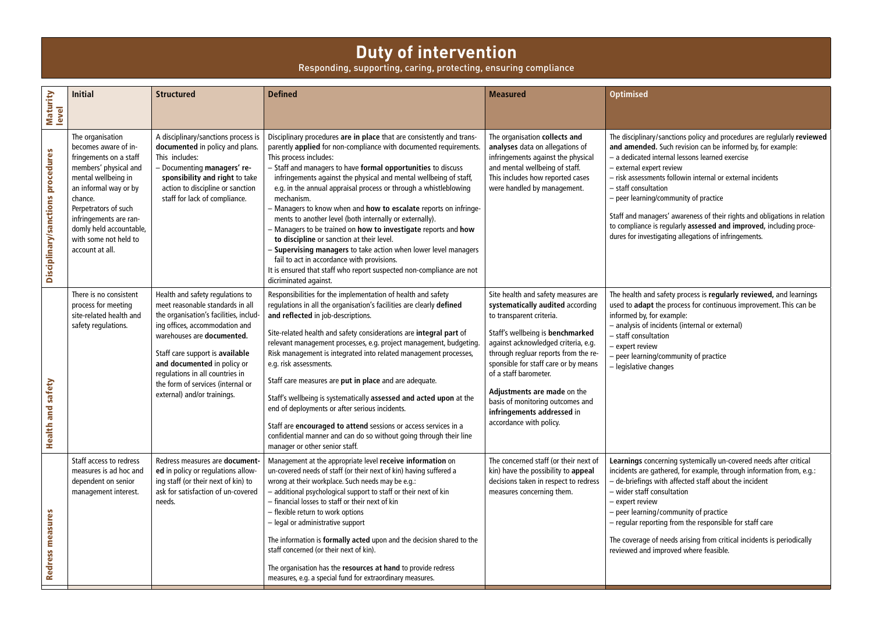## **Duty of intervention**

Responding, supporting, caring, protecting, ensuring compliance

| Maturity<br>level                           | <b>Initial</b>                                                                                                                                                                                                                                                                  | <b>Structured</b>                                                                                                                                                                                                                                                                                                                                       | <b>Defined</b>                                                                                                                                                                                                                                                                                                                                                                                                                                                                                                                                                                                                                                                                                                                                                                                                                                              | <b>Measured</b>                                                                                                                                                                                                                                                                                                                                                                                                     | <b>Optimised</b>                                                                                                                                                                                                                                                                            |
|---------------------------------------------|---------------------------------------------------------------------------------------------------------------------------------------------------------------------------------------------------------------------------------------------------------------------------------|---------------------------------------------------------------------------------------------------------------------------------------------------------------------------------------------------------------------------------------------------------------------------------------------------------------------------------------------------------|-------------------------------------------------------------------------------------------------------------------------------------------------------------------------------------------------------------------------------------------------------------------------------------------------------------------------------------------------------------------------------------------------------------------------------------------------------------------------------------------------------------------------------------------------------------------------------------------------------------------------------------------------------------------------------------------------------------------------------------------------------------------------------------------------------------------------------------------------------------|---------------------------------------------------------------------------------------------------------------------------------------------------------------------------------------------------------------------------------------------------------------------------------------------------------------------------------------------------------------------------------------------------------------------|---------------------------------------------------------------------------------------------------------------------------------------------------------------------------------------------------------------------------------------------------------------------------------------------|
| Disciplinary/sanctions procedures           | The organisation<br>becomes aware of in-<br>fringements on a staff<br>members' physical and<br>mental wellbeing in<br>an informal way or by<br>chance.<br>Perpetrators of such<br>infringements are ran-<br>domly held accountable,<br>with some not held to<br>account at all. | A disciplinary/sanctions process is<br>documented in policy and plans.<br>This includes:<br>- Documenting managers' re-<br>sponsibility and right to take<br>action to discipline or sanction<br>staff for lack of compliance.                                                                                                                          | Disciplinary procedures are in place that are consistently and trans-<br>parently applied for non-compliance with documented requirements.<br>This process includes:<br>- Staff and managers to have formal opportunities to discuss<br>infringements against the physical and mental wellbeing of staff,<br>e.g. in the annual appraisal process or through a whistleblowing<br>mechanism.<br>- Managers to know when and how to escalate reports on infringe-<br>ments to another level (both internally or externally).<br>- Managers to be trained on how to investigate reports and how<br>to discipline or sanction at their level.<br>- Supervising managers to take action when lower level managers<br>fail to act in accordance with provisions.<br>It is ensured that staff who report suspected non-compliance are not<br>dicriminated against. | The organisation collects and<br>analyses data on allegations of<br>infringements against the physical<br>and mental wellbeing of staff.<br>This includes how reported cases<br>were handled by management.                                                                                                                                                                                                         | The disciplinary/sanctions<br>and amended. Such revi<br>- a dedicated internal less<br>- external expert review<br>- risk assessments followi<br>- staff consultation<br>- peer learning/communit<br>Staff and managers' awar<br>to compliance is regularly<br>dures for investigating alle |
| safety<br>$\overline{\bullet}$<br>Health an | There is no consistent<br>process for meeting<br>site-related health and<br>safety regulations.                                                                                                                                                                                 | Health and safety regulations to<br>meet reasonable standards in all<br>the organisation's facilities, includ-<br>ing offices, accommodation and<br>warehouses are documented.<br>Staff care support is available<br>and documented in policy or<br>regulations in all countries in<br>the form of services (internal or<br>external) and/or trainings. | Responsibilities for the implementation of health and safety<br>regulations in all the organisation's facilities are clearly defined<br>and reflected in job-descriptions.<br>Site-related health and safety considerations are integral part of<br>relevant management processes, e.g. project management, budgeting.<br>Risk management is integrated into related management processes,<br>e.g. risk assessments.<br>Staff care measures are put in place and are adequate.<br>Staff's wellbeing is systematically assessed and acted upon at the<br>end of deployments or after serious incidents.<br>Staff are encouraged to attend sessions or access services in a<br>confidential manner and can do so without going through their line<br>manager or other senior staff.                                                                           | Site health and safety measures are<br>systematically audited according<br>to transparent criteria.<br>Staff's wellbeing is benchmarked<br>against acknowledged criteria, e.g.<br>through regluar reports from the re-<br>sponsible for staff care or by means<br>of a staff barometer.<br>Adjustments are made on the<br>basis of monitoring outcomes and<br>infringements addressed in<br>accordance with policy. | The health and safety pro<br>used to adapt the proces<br>informed by, for example:<br>- analysis of incidents (in<br>- staff consultation<br>- expert review<br>- peer learning/communi<br>- legislative changes                                                                            |
| Redress measures                            | Staff access to redress<br>measures is ad hoc and<br>dependent on senior<br>management interest.                                                                                                                                                                                | Redress measures are document-<br>ed in policy or regulations allow-<br>ing staff (or their next of kin) to<br>ask for satisfaction of un-covered<br>needs.                                                                                                                                                                                             | Management at the appropriate level receive information on<br>un-covered needs of staff (or their next of kin) having suffered a<br>wrong at their workplace. Such needs may be e.g.:<br>- additional psychological support to staff or their next of kin<br>- financial losses to staff or their next of kin<br>- flexible return to work options<br>- legal or administrative support<br>The information is formally acted upon and the decision shared to the<br>staff concerned (or their next of kin).<br>The organisation has the resources at hand to provide redress<br>measures, e.g. a special fund for extraordinary measures.                                                                                                                                                                                                                   | The concerned staff (or their next of<br>kin) have the possibility to appeal<br>decisions taken in respect to redress<br>measures concerning them.                                                                                                                                                                                                                                                                  | <b>Learnings concerning syst</b><br>incidents are gathered, fo<br>- de-briefings with affect<br>- wider staff consultatior<br>- expert review<br>- peer learning/commun<br>$-$ regular reporting from<br>The coverage of needs ari<br>reviewed and improved w                               |

| The disciplinary/sanctions policy and procedures are reglularly reviewed<br>and amended. Such revision can be informed by, for example:<br>- a dedicated internal lessons learned exercise<br>- external expert review<br>- risk assessments followin internal or external incidents<br>- staff consultation<br>- peer learning/community of practice |
|-------------------------------------------------------------------------------------------------------------------------------------------------------------------------------------------------------------------------------------------------------------------------------------------------------------------------------------------------------|
| Staff and managers' awareness of their rights and obligations in relation<br>to compliance is regularly assessed and improved, including proce-<br>dures for investigating allegations of infringements.                                                                                                                                              |
| The health and safety process is regularly reviewed, and learnings<br>used to adapt the process for continuous improvement. This can be<br>informed by, for example:<br>- analysis of incidents (internal or external)<br>- staff consultation<br>- expert review<br>- peer learning/community of practice<br>- legislative changes                   |

**Learning systemically un-covered needs after critical** incidents are gathered, for example, through information from, e.g.: – de-briefings with affected staff about the incident nsultation

> / community of practice ing from the responsible for staff care

 $\frac{1}{2}$  needs arising from critical incidents is periodically nproved where feasible.